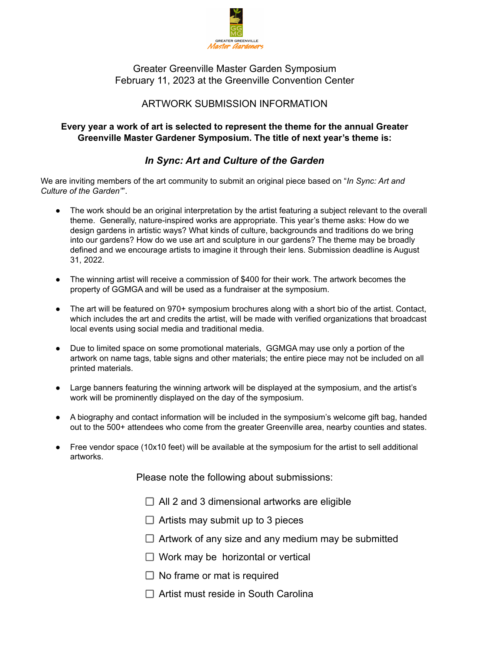

Greater Greenville Master Garden Symposium February 11, 2023 at the Greenville Convention Center

## ARTWORK SUBMISSION INFORMATION

## **Every year a work of art is selected to represent the theme for the annual Greater Greenville Master Gardener Symposium. The title of next year's theme is:**

## *In Sync: Art and Culture of the Garden*

We are inviting members of the art community to submit an original piece based on "*In Sync: Art and Culture of the Garden"*".

- The work should be an original interpretation by the artist featuring a subject relevant to the overall theme. Generally, nature-inspired works are appropriate. This year's theme asks: How do we design gardens in artistic ways? What kinds of culture, backgrounds and traditions do we bring into our gardens? How do we use art and sculpture in our gardens? The theme may be broadly defined and we encourage artists to imagine it through their lens. Submission deadline is August 31, 2022.
- The winning artist will receive a commission of \$400 for their work. The artwork becomes the property of GGMGA and will be used as a fundraiser at the symposium.
- The art will be featured on 970+ symposium brochures along with a short bio of the artist. Contact, which includes the art and credits the artist, will be made with verified organizations that broadcast local events using social media and traditional media.
- Due to limited space on some promotional materials, GGMGA may use only a portion of the artwork on name tags, table signs and other materials; the entire piece may not be included on all printed materials.
- Large banners featuring the winning artwork will be displayed at the symposium, and the artist's work will be prominently displayed on the day of the symposium.
- A biography and contact information will be included in the symposium's welcome gift bag, handed out to the 500+ attendees who come from the greater Greenville area, nearby counties and states.
- Free vendor space (10x10 feet) will be available at the symposium for the artist to sell additional artworks.

Please note the following about submissions:

- $\Box$  All 2 and 3 dimensional artworks are eligible
- $\Box$  Artists may submit up to 3 pieces
- $\Box$  Artwork of any size and any medium may be submitted
- $\Box$  Work may be horizontal or vertical
- $\Box$  No frame or mat is required
- $\Box$  Artist must reside in South Carolina